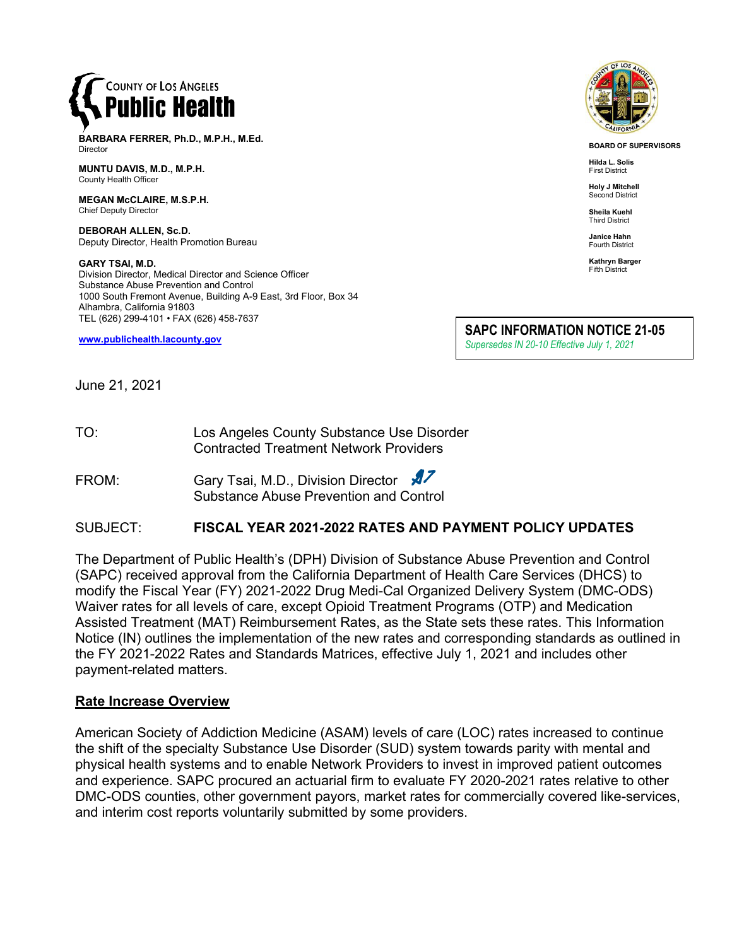

**BARBARA FERRER, Ph.D., M.P.H., M.Ed.** Director

**MUNTU DAVIS, M.D., M.P.H.** County Health Officer

**MEGAN McCLAIRE, M.S.P.H.** Chief Deputy Director

**DEBORAH ALLEN, Sc.D.** Deputy Director, Health Promotion Bureau

**GARY TSAI, M.D.** Division Director, Medical Director and Science Officer Substance Abuse Prevention and Control 1000 South Fremont Avenue, Building A-9 East, 3rd Floor, Box 34 Alhambra, California 91803 TEL (626) 299-4101 • FAX (626) 458-7637

**[www.publichealth.lacounty.gov](http://www.publichealth.lacounty.gov/)**



**BOARD OF SUPERVISORS**

**Hilda L. Solis** First District

**Holy J Mitchell** Second District

**Sheila Kuehl** Third District

**Janice Hahn** Fourth District

**Kathryn Barger** Fifth District

**SAPC INFORMATION NOTICE 21-05**

*Supersedes IN 20-10 Effective July 1, 2021*

June 21, 2021

TO: Los Angeles County Substance Use Disorder Contracted Treatment Network Providers

FROM: Gary Tsai, M.D., Division Director Substance Abuse Prevention and Control

## SUBJECT: **FISCAL YEAR 2021-2022 RATES AND PAYMENT POLICY UPDATES**

The Department of Public Health's (DPH) Division of Substance Abuse Prevention and Control (SAPC) received approval from the California Department of Health Care Services (DHCS) to modify the Fiscal Year (FY) 2021-2022 Drug Medi-Cal Organized Delivery System (DMC-ODS) Waiver rates for all levels of care, except Opioid Treatment Programs (OTP) and Medication Assisted Treatment (MAT) Reimbursement Rates, as the State sets these rates. This Information Notice (IN) outlines the implementation of the new rates and corresponding standards as outlined in the FY 2021-2022 Rates and Standards Matrices, effective July 1, 2021 and includes other payment-related matters.

#### **Rate Increase Overview**

American Society of Addiction Medicine (ASAM) levels of care (LOC) rates increased to continue the shift of the specialty Substance Use Disorder (SUD) system towards parity with mental and physical health systems and to enable Network Providers to invest in improved patient outcomes and experience. SAPC procured an actuarial firm to evaluate FY 2020-2021 rates relative to other DMC-ODS counties, other government payors, market rates for commercially covered like-services, and interim cost reports voluntarily submitted by some providers.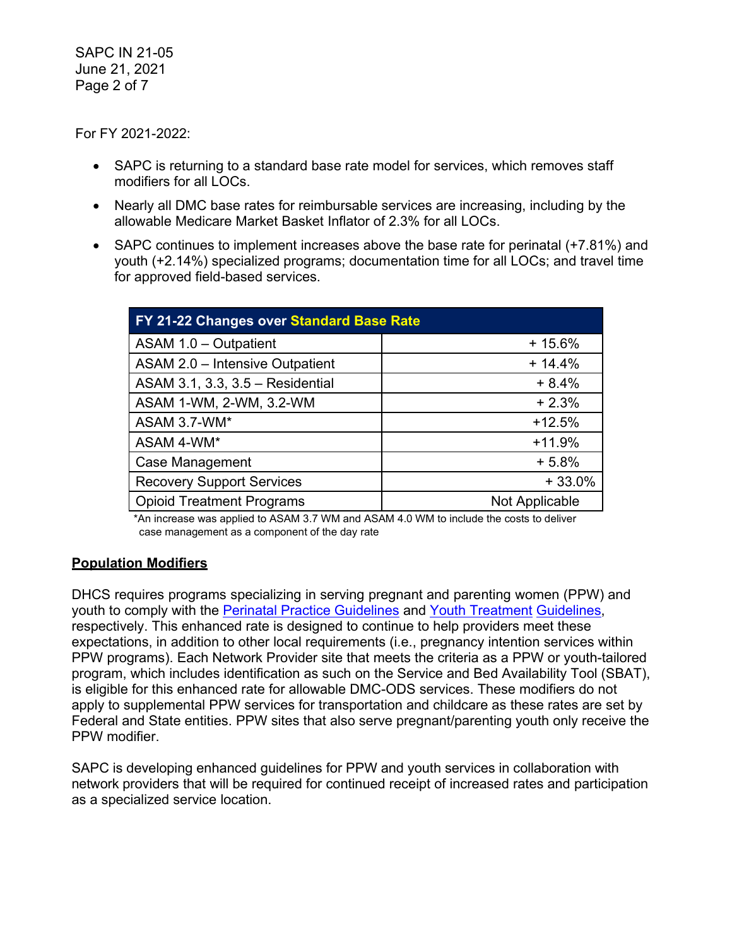SAPC IN 21-05 June 21, 2021 Page 2 of 7

For FY 2021-2022:

- SAPC is returning to a standard base rate model for services, which removes staff modifiers for all LOCs.
- Nearly all DMC base rates for reimbursable services are increasing, including by the allowable Medicare Market Basket Inflator of 2.3% for all LOCs.
- SAPC continues to implement increases above the base rate for perinatal (+7.81%) and youth (+2.14%) specialized programs; documentation time for all LOCs; and travel time for approved field-based services.

| FY 21-22 Changes over Standard Base Rate |                |  |
|------------------------------------------|----------------|--|
| ASAM 1.0 - Outpatient                    | $+15.6%$       |  |
| ASAM 2.0 - Intensive Outpatient          | $+14.4%$       |  |
| ASAM 3.1, 3.3, 3.5 - Residential         | $+8.4%$        |  |
| ASAM 1-WM, 2-WM, 3.2-WM                  | $+2.3%$        |  |
| ASAM 3.7-WM*                             | $+12.5%$       |  |
| ASAM 4-WM*                               | $+11.9%$       |  |
| <b>Case Management</b>                   | $+5.8%$        |  |
| <b>Recovery Support Services</b>         | $+33.0%$       |  |
| <b>Opioid Treatment Programs</b>         | Not Applicable |  |

\*An increase was applied to ASAM 3.7 WM and ASAM 4.0 WM to include the costs to deliver case management as a component of the day rate

# **Population Modifiers**

DHCS requires programs specializing in serving pregnant and parenting women (PPW) and youth to comply with the [Perinatal Practice Guidelines](https://www.dhcs.ca.gov/individuals/Documents/Perinatal_Practice_Guidelines_FY1819.pdf) and [Youth Treatment](https://www.dhcs.ca.gov/individuals/Documents/Youth_Treatment_Guidelines.pdf) [Guidelines,](https://www.dhcs.ca.gov/individuals/Documents/Youth_Treatment_Guidelines.pdf) respectively. This enhanced rate is designed to continue to help providers meet these expectations, in addition to other local requirements (i.e., pregnancy intention services within PPW programs). Each Network Provider site that meets the criteria as a PPW or youth-tailored program, which includes identification as such on the Service and Bed Availability Tool (SBAT), is eligible for this enhanced rate for allowable DMC-ODS services. These modifiers do not apply to supplemental PPW services for transportation and childcare as these rates are set by Federal and State entities. PPW sites that also serve pregnant/parenting youth only receive the PPW modifier.

SAPC is developing enhanced guidelines for PPW and youth services in collaboration with network providers that will be required for continued receipt of increased rates and participation as a specialized service location.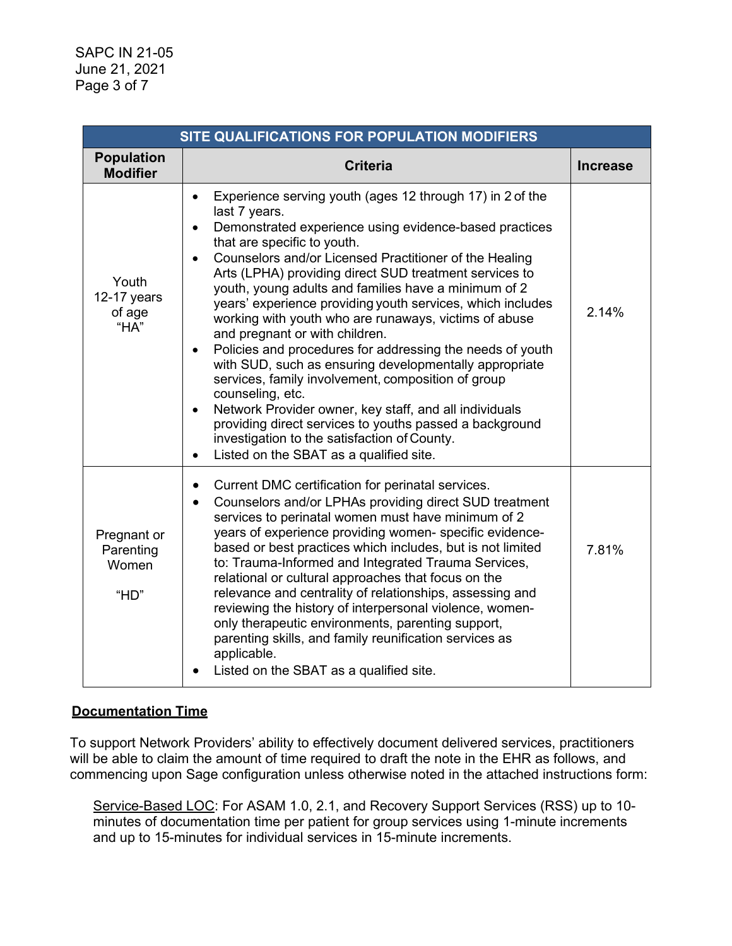| SITE QUALIFICATIONS FOR POPULATION MODIFIERS |                                                                                                                                                                                                                                                                                                                                                                                                                                                                                                                                                                                                                                                                                                                                                                                                                                                                                                                                                                                                         |                 |  |
|----------------------------------------------|---------------------------------------------------------------------------------------------------------------------------------------------------------------------------------------------------------------------------------------------------------------------------------------------------------------------------------------------------------------------------------------------------------------------------------------------------------------------------------------------------------------------------------------------------------------------------------------------------------------------------------------------------------------------------------------------------------------------------------------------------------------------------------------------------------------------------------------------------------------------------------------------------------------------------------------------------------------------------------------------------------|-----------------|--|
| <b>Population</b><br><b>Modifier</b>         | <b>Criteria</b>                                                                                                                                                                                                                                                                                                                                                                                                                                                                                                                                                                                                                                                                                                                                                                                                                                                                                                                                                                                         | <b>Increase</b> |  |
| Youth<br>12-17 years<br>of age<br>"HA"       | Experience serving youth (ages 12 through 17) in 2 of the<br>$\bullet$<br>last 7 years.<br>Demonstrated experience using evidence-based practices<br>$\bullet$<br>that are specific to youth.<br>Counselors and/or Licensed Practitioner of the Healing<br>$\bullet$<br>Arts (LPHA) providing direct SUD treatment services to<br>youth, young adults and families have a minimum of 2<br>years' experience providing youth services, which includes<br>working with youth who are runaways, victims of abuse<br>and pregnant or with children.<br>Policies and procedures for addressing the needs of youth<br>$\bullet$<br>with SUD, such as ensuring developmentally appropriate<br>services, family involvement, composition of group<br>counseling, etc.<br>Network Provider owner, key staff, and all individuals<br>$\bullet$<br>providing direct services to youths passed a background<br>investigation to the satisfaction of County.<br>Listed on the SBAT as a qualified site.<br>$\bullet$ | 2.14%           |  |
| Pregnant or<br>Parenting<br>Women<br>"HD"    | Current DMC certification for perinatal services.<br>$\bullet$<br>Counselors and/or LPHAs providing direct SUD treatment<br>$\bullet$<br>services to perinatal women must have minimum of 2<br>years of experience providing women- specific evidence-<br>based or best practices which includes, but is not limited<br>to: Trauma-Informed and Integrated Trauma Services,<br>relational or cultural approaches that focus on the<br>relevance and centrality of relationships, assessing and<br>reviewing the history of interpersonal violence, women-<br>only therapeutic environments, parenting support,<br>parenting skills, and family reunification services as<br>applicable.<br>Listed on the SBAT as a qualified site.                                                                                                                                                                                                                                                                      | 7.81%           |  |

# **Documentation Time**

To support Network Providers' ability to effectively document delivered services, practitioners will be able to claim the amount of time required to draft the note in the EHR as follows, and commencing upon Sage configuration unless otherwise noted in the attached instructions form:

Service-Based LOC: For ASAM 1.0, 2.1, and Recovery Support Services (RSS) up to 10 minutes of documentation time per patient for group services using 1-minute increments and up to 15-minutes for individual services in 15-minute increments.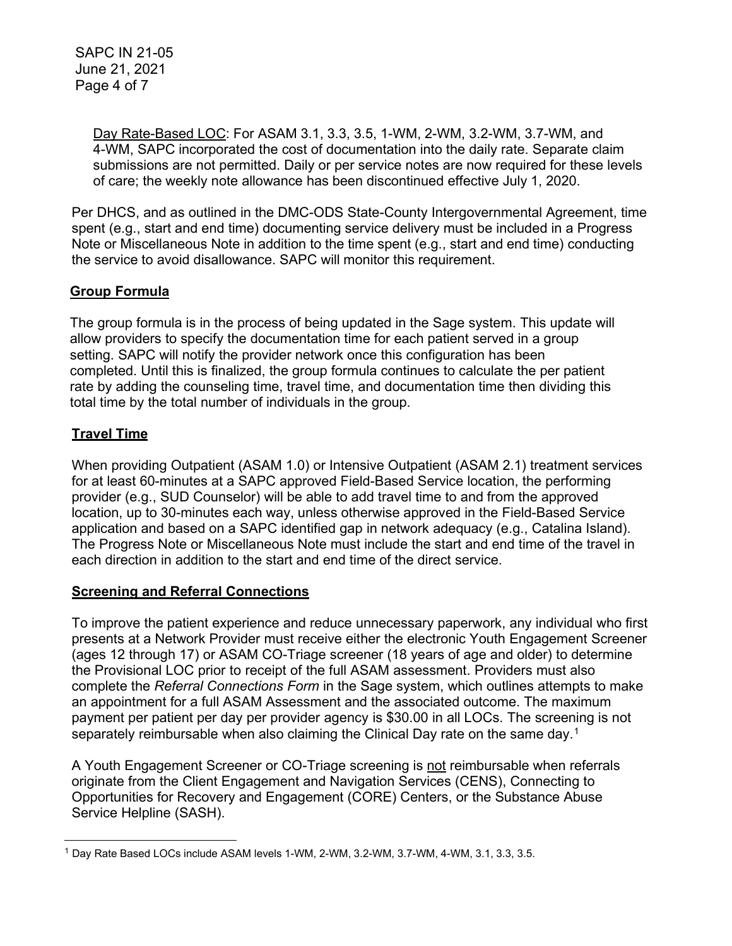SAPC IN 21-05 June 21, 2021 Page 4 of 7

> Day Rate-Based LOC: For ASAM 3.1, 3.3, 3.5, 1-WM, 2-WM, 3.2-WM, 3.7-WM, and 4-WM, SAPC incorporated the cost of documentation into the daily rate. Separate claim submissions are not permitted. Daily or per service notes are now required for these levels of care; the weekly note allowance has been discontinued effective July 1, 2020.

Per DHCS, and as outlined in the DMC-ODS State-County Intergovernmental Agreement, time spent (e.g., start and end time) documenting service delivery must be included in a Progress Note or Miscellaneous Note in addition to the time spent (e.g., start and end time) conducting the service to avoid disallowance. SAPC will monitor this requirement.

# **Group Formula**

The group formula is in the process of being updated in the Sage system. This update will allow providers to specify the documentation time for each patient served in a group setting. SAPC will notify the provider network once this configuration has been completed. Until this is finalized, the group formula continues to calculate the per patient rate by adding the counseling time, travel time, and documentation time then dividing this total time by the total number of individuals in the group.

## **Travel Time**

When providing Outpatient (ASAM 1.0) or Intensive Outpatient (ASAM 2.1) treatment services for at least 60-minutes at a SAPC approved Field-Based Service location, the performing provider (e.g., SUD Counselor) will be able to add travel time to and from the approved location, up to 30-minutes each way, unless otherwise approved in the Field-Based Service application and based on a SAPC identified gap in network adequacy (e.g., Catalina Island). The Progress Note or Miscellaneous Note must include the start and end time of the travel in each direction in addition to the start and end time of the direct service.

#### **Screening and Referral Connections**

To improve the patient experience and reduce unnecessary paperwork, any individual who first presents at a Network Provider must receive either the electronic Youth Engagement Screener (ages 12 through 17) or ASAM CO-Triage screener (18 years of age and older) to determine the Provisional LOC prior to receipt of the full ASAM assessment. Providers must also complete the *Referral Connections Form* in the Sage system, which outlines attempts to make an appointment for a full ASAM Assessment and the associated outcome. The maximum payment per patient per day per provider agency is \$30.00 in all LOCs. The screening is not separately reimbursable when also claiming the Clinical Day rate on the same day.[1](#page-3-0)

A Youth Engagement Screener or CO-Triage screening is not reimbursable when referrals originate from the Client Engagement and Navigation Services (CENS), Connecting to Opportunities for Recovery and Engagement (CORE) Centers, or the Substance Abuse Service Helpline (SASH).

<span id="page-3-0"></span><sup>1</sup> Day Rate Based LOCs include ASAM levels 1-WM, 2-WM, 3.2-WM, 3.7-WM, 4-WM, 3.1, 3.3, 3.5.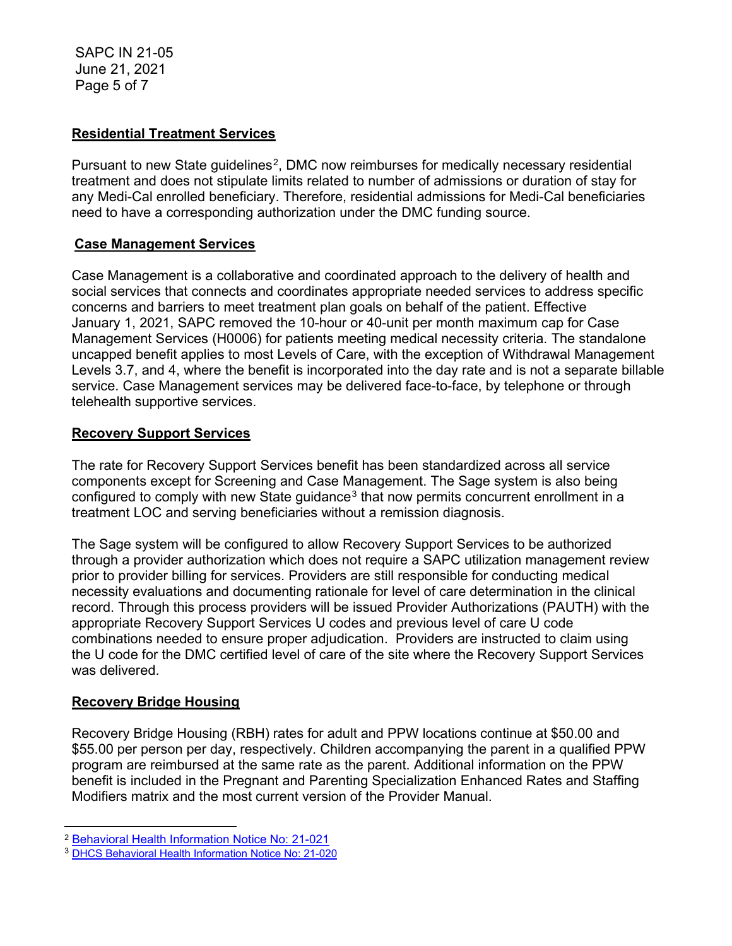SAPC IN 21-05 June 21, 2021 Page 5 of 7

## **Residential Treatment Services**

Pursuant to new State guidelines<sup>2</sup>, DMC now reimburses for medically necessary residential treatment and does not stipulate limits related to number of admissions or duration of stay for any Medi-Cal enrolled beneficiary. Therefore, residential admissions for Medi-Cal beneficiaries need to have a corresponding authorization under the DMC funding source.

## **Case Management Services**

Case Management is a collaborative and coordinated approach to the delivery of health and social services that connects and coordinates appropriate needed services to address specific concerns and barriers to meet treatment plan goals on behalf of the patient. Effective January 1, 2021, SAPC removed the 10-hour or 40-unit per month maximum cap for Case Management Services (H0006) for patients meeting medical necessity criteria. The standalone uncapped benefit applies to most Levels of Care, with the exception of Withdrawal Management Levels 3.7, and 4, where the benefit is incorporated into the day rate and is not a separate billable service. Case Management services may be delivered face-to-face, by telephone or through telehealth supportive services.

## **Recovery Support Services**

The rate for Recovery Support Services benefit has been standardized across all service components except for Screening and Case Management. The Sage system is also being configured to comply with new State guidance<sup>[3](#page-4-1)</sup> that now permits concurrent enrollment in a treatment LOC and serving beneficiaries without a remission diagnosis.

The Sage system will be configured to allow Recovery Support Services to be authorized through a provider authorization which does not require a SAPC utilization management review prior to provider billing for services. Providers are still responsible for conducting medical necessity evaluations and documenting rationale for level of care determination in the clinical record. Through this process providers will be issued Provider Authorizations (PAUTH) with the appropriate Recovery Support Services U codes and previous level of care U code combinations needed to ensure proper adjudication. Providers are instructed to claim using the U code for the DMC certified level of care of the site where the Recovery Support Services was delivered.

#### **Recovery Bridge Housing**

Recovery Bridge Housing (RBH) rates for adult and PPW locations continue at \$50.00 and \$55.00 per person per day, respectively. Children accompanying the parent in a qualified PPW program are reimbursed at the same rate as the parent. Additional information on the PPW benefit is included in the Pregnant and Parenting Specialization Enhanced Rates and Staffing Modifiers matrix and the most current version of the Provider Manual.

<span id="page-4-0"></span><sup>2</sup> [Behavioral Health Information Notice No: 21-021](https://www.dhcs.ca.gov/formsandpubs/Pages/2021-MHSUDS-BH-Information-Notices.aspx)

<span id="page-4-1"></span><sup>3</sup> [DHCS Behavioral Health Information Notice No: 21-020](https://www.dhcs.ca.gov/Documents/BHIN-21-020-DMC-ODS-Clarification-on-Recovery-Services.pdf)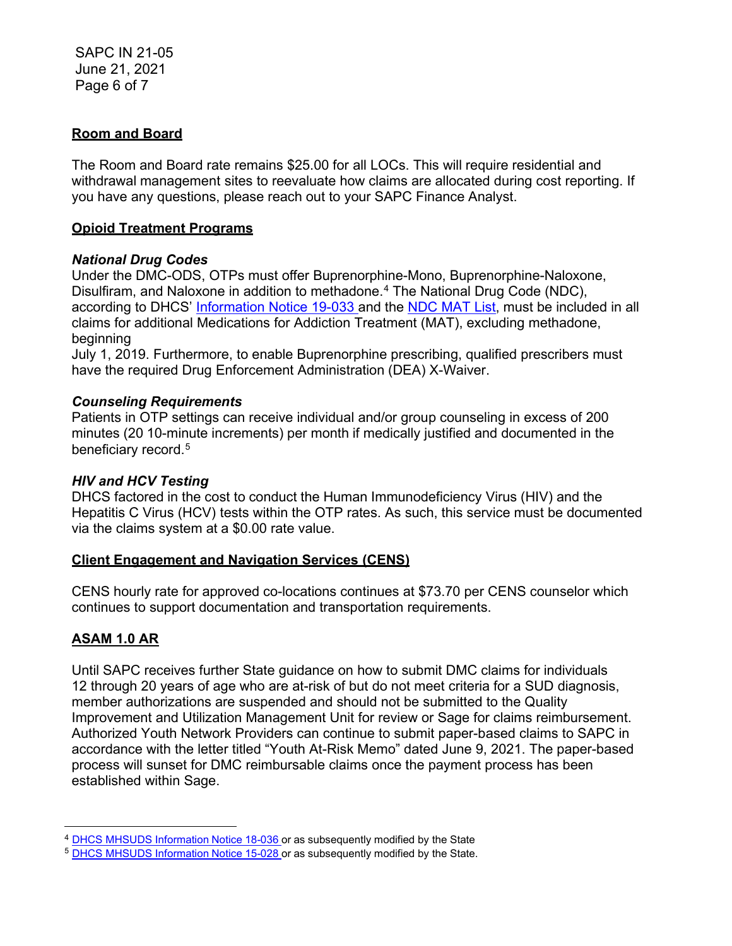## **Room and Board**

The Room and Board rate remains \$25.00 for all LOCs. This will require residential and withdrawal management sites to reevaluate how claims are allocated during cost reporting. If you have any questions, please reach out to your SAPC Finance Analyst.

#### **Opioid Treatment Programs**

## *National Drug Codes*

Under the DMC-ODS, OTPs must offer Buprenorphine-Mono, Buprenorphine-Naloxone, Disulfiram, and Naloxone in addition to methadone.[4](#page-5-0) The National Drug Code (NDC), according to DHCS' [Information Notice 19-033 a](https://www.dhcs.ca.gov/formsandpubs/Documents/MHSUDS%20Information%20Notices/MHSUDS_Information_Notices_2019/MHSUDS-Information-Notice-19-033-NDC-MAT-FINAL.pdf)nd the [NDC MAT List,](https://www.dhcs.ca.gov/formsandpubs/Documents/MHSUDS%20Information%20Notices/MHSUDS_Information_Notices_2019/MHSUDS-Information-Notice-19-033-Exhibit-A-NDC-List-for-DMC-ODS-MAT-Services.pdf) must be included in all claims for additional Medications for Addiction Treatment (MAT), excluding methadone, beginning

July 1, 2019. Furthermore, to enable Buprenorphine prescribing, qualified prescribers must have the required Drug Enforcement Administration (DEA) X-Waiver.

## *Counseling Requirements*

Patients in OTP settings can receive individual and/or group counseling in excess of 200 minutes (20 10-minute increments) per month if medically justified and documented in the beneficiary record.<sup>[5](#page-5-1)</sup>

### *HIV and HCV Testing*

DHCS factored in the cost to conduct the Human Immunodeficiency Virus (HIV) and the Hepatitis C Virus (HCV) tests within the OTP rates. As such, this service must be documented via the claims system at a \$0.00 rate value.

#### **Client Engagement and Navigation Services (CENS)**

CENS hourly rate for approved co-locations continues at \$73.70 per CENS counselor which continues to support documentation and transportation requirements.

# **ASAM 1.0 AR**

Until SAPC receives further State guidance on how to submit DMC claims for individuals 12 through 20 years of age who are at-risk of but do not meet criteria for a SUD diagnosis, member authorizations are suspended and should not be submitted to the Quality Improvement and Utilization Management Unit for review or Sage for claims reimbursement. Authorized Youth Network Providers can continue to submit paper-based claims to SAPC in accordance with the letter titled "Youth At-Risk Memo" dated June 9, 2021. The paper-based process will sunset for DMC reimbursable claims once the payment process has been established within Sage.

<span id="page-5-0"></span><sup>&</sup>lt;sup>4</sup> DHCS MHSUDS [Information](https://www.dhcs.ca.gov/formsandpubs/Documents/MHSUDS%20Information%20Notices/MHSUDS_Information_Notices_2018/MHSUDS_Information_Notice_18_036_MAT_FY_1819.pdf) Notice 18-036 or as subsequently modified by the State

<span id="page-5-1"></span><sup>5</sup> DHCS MHSUDS [Information](https://www.dhcs.ca.gov/formsandpubs/Documents/Info%20Notice%202015/MHSUDS_15_028_NTP.pdf) Notice 15-028 or as subsequently modified by the State.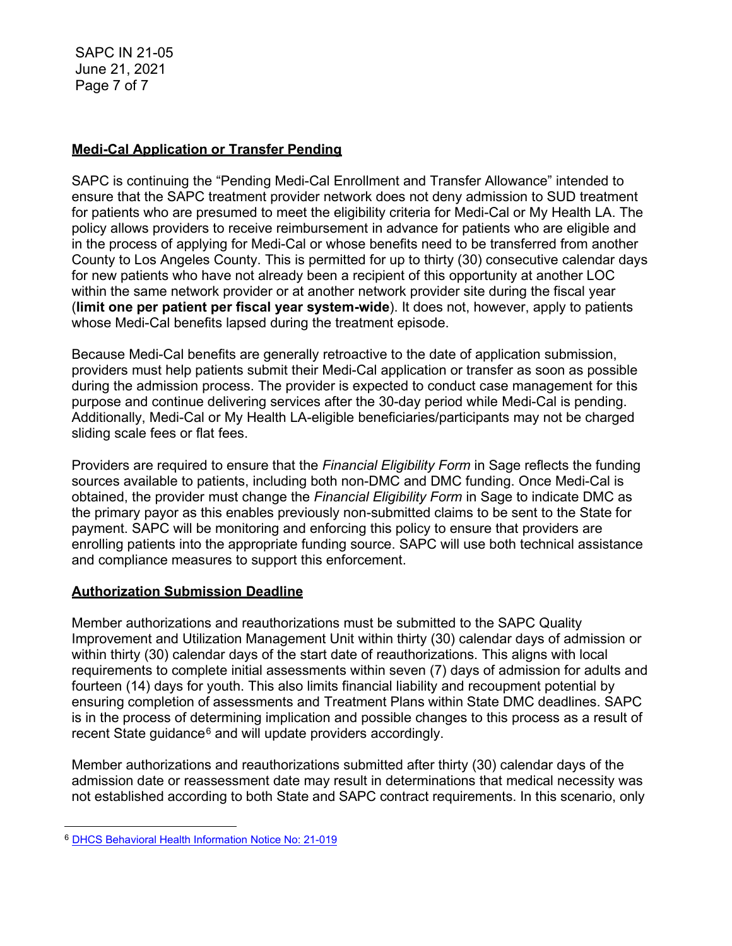SAPC IN 21-05 June 21, 2021 Page 7 of 7

### **Medi-Cal Application or Transfer Pending**

SAPC is continuing the "Pending Medi-Cal Enrollment and Transfer Allowance" intended to ensure that the SAPC treatment provider network does not deny admission to SUD treatment for patients who are presumed to meet the eligibility criteria for Medi-Cal or My Health LA. The policy allows providers to receive reimbursement in advance for patients who are eligible and in the process of applying for Medi-Cal or whose benefits need to be transferred from another County to Los Angeles County. This is permitted for up to thirty (30) consecutive calendar days for new patients who have not already been a recipient of this opportunity at another LOC within the same network provider or at another network provider site during the fiscal year (**limit one per patient per fiscal year system-wide**). It does not, however, apply to patients whose Medi-Cal benefits lapsed during the treatment episode.

Because Medi-Cal benefits are generally retroactive to the date of application submission, providers must help patients submit their Medi-Cal application or transfer as soon as possible during the admission process. The provider is expected to conduct case management for this purpose and continue delivering services after the 30-day period while Medi-Cal is pending. Additionally, Medi-Cal or My Health LA-eligible beneficiaries/participants may not be charged sliding scale fees or flat fees.

Providers are required to ensure that the *Financial Eligibility Form* in Sage reflects the funding sources available to patients, including both non-DMC and DMC funding. Once Medi-Cal is obtained, the provider must change the *Financial Eligibility Form* in Sage to indicate DMC as the primary payor as this enables previously non-submitted claims to be sent to the State for payment. SAPC will be monitoring and enforcing this policy to ensure that providers are enrolling patients into the appropriate funding source. SAPC will use both technical assistance and compliance measures to support this enforcement.

# **Authorization Submission Deadline**

Member authorizations and reauthorizations must be submitted to the SAPC Quality Improvement and Utilization Management Unit within thirty (30) calendar days of admission or within thirty (30) calendar days of the start date of reauthorizations. This aligns with local requirements to complete initial assessments within seven (7) days of admission for adults and fourteen (14) days for youth. This also limits financial liability and recoupment potential by ensuring completion of assessments and Treatment Plans within State DMC deadlines. SAPC is in the process of determining implication and possible changes to this process as a result of recent State guidance $6$  and will update providers accordingly.

Member authorizations and reauthorizations submitted after thirty (30) calendar days of the admission date or reassessment date may result in determinations that medical necessity was not established according to both State and SAPC contract requirements. In this scenario, only

<span id="page-6-0"></span><sup>6</sup> [DHCS Behavioral Health Information Notice No: 21-019](https://www.dhcs.ca.gov/Documents/BHIN-21-019-DMC-ODS-Updated-Policy-on-Medical-Necessity-and-Level-of-Care.pdf)